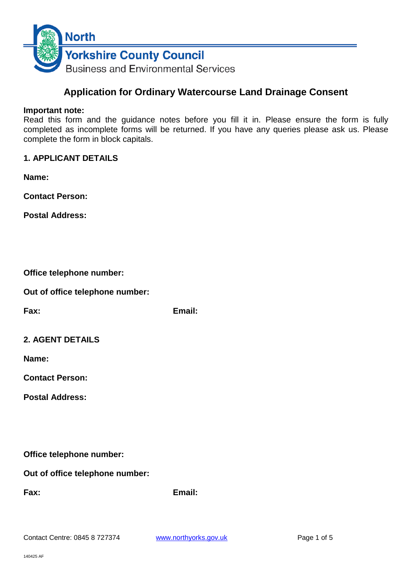

# **Application for Ordinary Watercourse Land Drainage Consent**

#### **Important note:**

Read this form and the guidance notes before you fill it in. Please ensure the form is fully completed as incomplete forms will be returned. If you have any queries please ask us. Please complete the form in block capitals.

### **1. APPLICANT DETAILS**

**Name:**

**Contact Person:**

**Postal Address:**

|  | Office telephone number: |  |
|--|--------------------------|--|
|--|--------------------------|--|

**Out of office telephone number:**

**Fax: Email:**

| <b>2. AGENT DETAILS</b> |
|-------------------------|
|-------------------------|

**Name:**

**Contact Person:**

**Postal Address:**

**Office telephone number:**

**Out of office telephone number:**

**Fax: Email:**

Contact Centre: 0845 8 727374 [www.northyorks.gov.uk](http://www.northyorks.gov.uk/) Page 1 of 5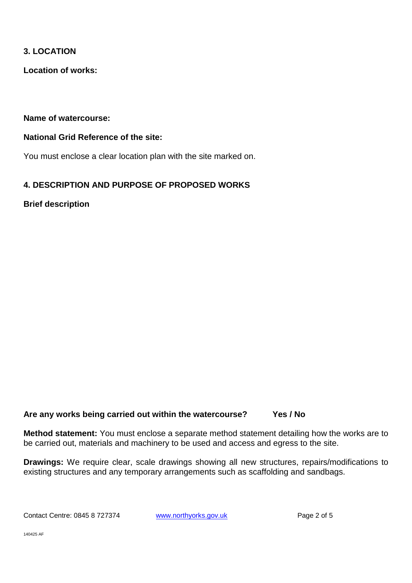### **3. LOCATION**

**Location of works:**

**Name of watercourse:**

### **National Grid Reference of the site:**

You must enclose a clear location plan with the site marked on.

# **4. DESCRIPTION AND PURPOSE OF PROPOSED WORKS**

**Brief description**

# **Are any works being carried out within the watercourse? Yes / No**

**Method statement:** You must enclose a separate method statement detailing how the works are to be carried out, materials and machinery to be used and access and egress to the site.

**Drawings:** We require clear, scale drawings showing all new structures, repairs/modifications to existing structures and any temporary arrangements such as scaffolding and sandbags.

Contact Centre: 0845 8 727374 [www.northyorks.gov.uk](http://www.northyorks.gov.uk/) Page 2 of 5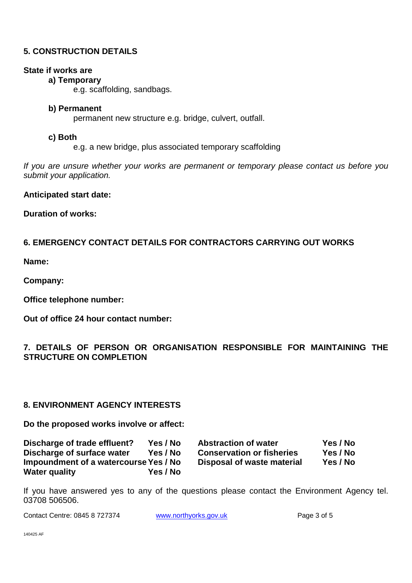### **5. CONSTRUCTION DETAILS**

#### **State if works are**

#### **a) Temporary**

e.g. scaffolding, sandbags.

#### **b) Permanent**

permanent new structure e.g. bridge, culvert, outfall.

#### **c) Both**

e.g. a new bridge, plus associated temporary scaffolding

*If you are unsure whether your works are permanent or temporary please contact us before you submit your application.*

#### **Anticipated start date:**

**Duration of works:**

# **6. EMERGENCY CONTACT DETAILS FOR CONTRACTORS CARRYING OUT WORKS**

**Name:**

**Company:**

**Office telephone number:**

**Out of office 24 hour contact number:**

# **7. DETAILS OF PERSON OR ORGANISATION RESPONSIBLE FOR MAINTAINING THE STRUCTURE ON COMPLETION**

### **8. ENVIRONMENT AGENCY INTERESTS**

**Do the proposed works involve or affect:**

| Discharge of trade effluent?          | Yes / No | <b>Abstraction of water</b>      | Yes / No |
|---------------------------------------|----------|----------------------------------|----------|
| Discharge of surface water            | Yes / No | <b>Conservation or fisheries</b> | Yes / No |
| Impoundment of a watercourse Yes / No |          | Disposal of waste material       | Yes / No |
| <b>Water quality</b>                  | Yes / No |                                  |          |

If you have answered yes to any of the questions please contact the Environment Agency tel. 03708 506506.

Contact Centre: 0845 8 727374 [www.northyorks.gov.uk](http://www.northyorks.gov.uk/) Page 3 of 5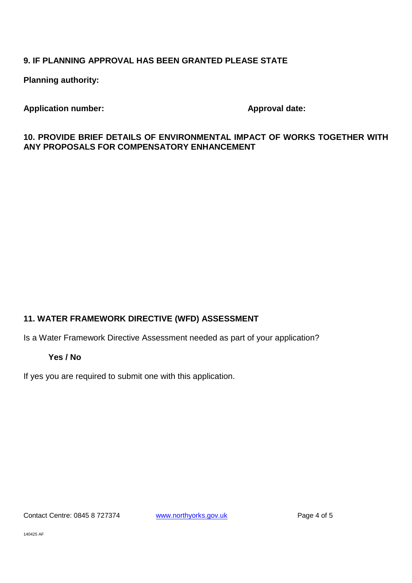# **9. IF PLANNING APPROVAL HAS BEEN GRANTED PLEASE STATE**

**Planning authority:**

# **Application number: Approval date:**

### **10. PROVIDE BRIEF DETAILS OF ENVIRONMENTAL IMPACT OF WORKS TOGETHER WITH ANY PROPOSALS FOR COMPENSATORY ENHANCEMENT**

# **11. WATER FRAMEWORK DIRECTIVE (WFD) ASSESSMENT**

Is a Water Framework Directive Assessment needed as part of your application?

### **Yes / No**

If yes you are required to submit one with this application.

Contact Centre: 0845 8 727374 [www.northyorks.gov.uk](http://www.northyorks.gov.uk/) Page 4 of 5